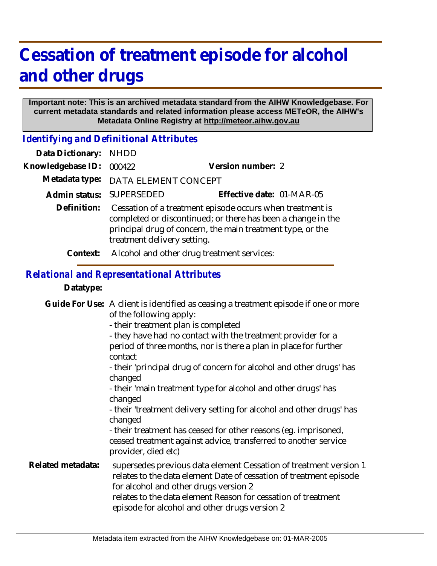## **Cessation of treatment episode for alcohol and other drugs**

## **Important note: This is an archived metadata standard from the AIHW Knowledgebase. For current metadata standards and related information please access METeOR, the AIHW's Metadata Online Registry at http://meteor.aihw.gov.au**

*Identifying and Definitional Attributes*

| Data Dictionary:  | NHDD                                                                                                                                                                                                                   |                           |
|-------------------|------------------------------------------------------------------------------------------------------------------------------------------------------------------------------------------------------------------------|---------------------------|
| Knowledgebase ID: | 000422                                                                                                                                                                                                                 | Version number: 2         |
| Metadata type:    | DATA ELEMENT CONCEPT                                                                                                                                                                                                   |                           |
|                   | Admin status: SUPERSEDED                                                                                                                                                                                               | Effective date: 01-MAR-05 |
| Definition:       | Cessation of a treatment episode occurs when treatment is<br>completed or discontinued; or there has been a change in the<br>principal drug of concern, the main treatment type, or the<br>treatment delivery setting. |                           |
| Context:          | Alcohol and other drug treatment services:                                                                                                                                                                             |                           |
|                   |                                                                                                                                                                                                                        |                           |

## *Relational and Representational Attributes*

**Datatype:**

|                   | Guide For Use: A client is identified as ceasing a treatment episode if one or more<br>of the following apply:<br>- their treatment plan is completed<br>- they have had no contact with the treatment provider for a<br>period of three months, nor is there a plan in place for further<br>contact<br>- their 'principal drug of concern for alcohol and other drugs' has<br>changed<br>- their 'main treatment type for alcohol and other drugs' has<br>changed<br>- their 'treatment delivery setting for alcohol and other drugs' has<br>changed<br>- their treatment has ceased for other reasons (eg. imprisoned,<br>ceased treatment against advice, transferred to another service<br>provider, died etc) |
|-------------------|--------------------------------------------------------------------------------------------------------------------------------------------------------------------------------------------------------------------------------------------------------------------------------------------------------------------------------------------------------------------------------------------------------------------------------------------------------------------------------------------------------------------------------------------------------------------------------------------------------------------------------------------------------------------------------------------------------------------|
| Related metadata: | supersedes previous data element Cessation of treatment version 1<br>relates to the data element Date of cessation of treatment episode<br>for alcohol and other drugs version 2<br>relates to the data element Reason for cessation of treatment<br>episode for alcohol and other drugs version 2                                                                                                                                                                                                                                                                                                                                                                                                                 |